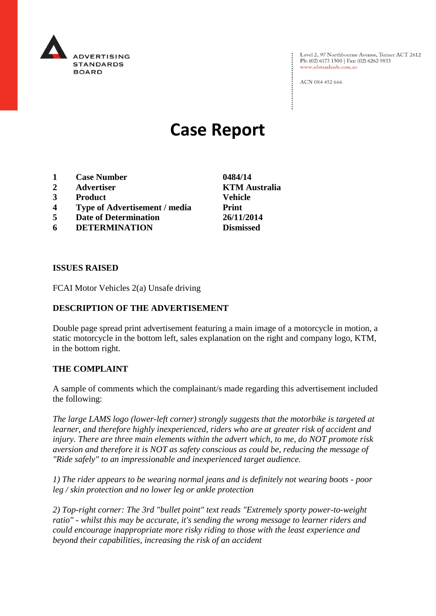

Level 2, 97 Northbourne Avenue, Turner ACT 2612 Ph: (02) 6173 1500 | Fax: (02) 6262 9833 www.adstandards.com.au

ACN 084 452 666

# **Case Report**

- **1 Case Number 0484/14**
- **2 Advertiser KTM Australia**
- **3 Product Vehicle**
- **4 Type of Advertisement / media Print**
- **5 Date of Determination 26/11/2014**
- **6 DETERMINATION Dismissed**

**ISSUES RAISED**

FCAI Motor Vehicles 2(a) Unsafe driving

## **DESCRIPTION OF THE ADVERTISEMENT**

Double page spread print advertisement featuring a main image of a motorcycle in motion, a static motorcycle in the bottom left, sales explanation on the right and company logo, KTM, in the bottom right.

### **THE COMPLAINT**

A sample of comments which the complainant/s made regarding this advertisement included the following:

*The large LAMS logo (lower-left corner) strongly suggests that the motorbike is targeted at learner, and therefore highly inexperienced, riders who are at greater risk of accident and injury. There are three main elements within the advert which, to me, do NOT promote risk aversion and therefore it is NOT as safety conscious as could be, reducing the message of "Ride safely" to an impressionable and inexperienced target audience.*

*1) The rider appears to be wearing normal jeans and is definitely not wearing boots - poor leg / skin protection and no lower leg or ankle protection*

*2) Top-right corner: The 3rd "bullet point" text reads "Extremely sporty power-to-weight ratio" - whilst this may be accurate, it's sending the wrong message to learner riders and could encourage inappropriate more risky riding to those with the least experience and beyond their capabilities, increasing the risk of an accident*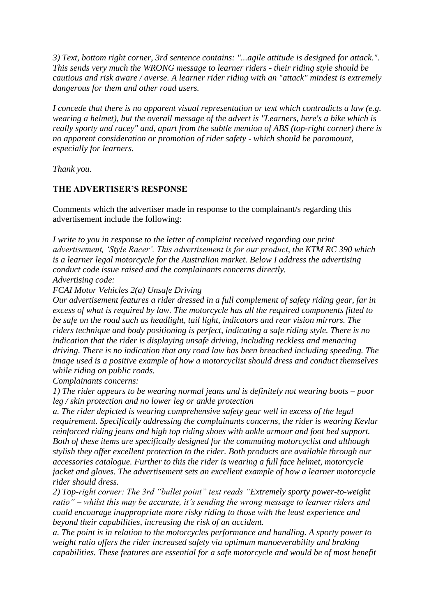*3) Text, bottom right corner, 3rd sentence contains: "...agile attitude is designed for attack.". This sends very much the WRONG message to learner riders - their riding style should be cautious and risk aware / averse. A learner rider riding with an "attack" mindest is extremely dangerous for them and other road users.*

*I concede that there is no apparent visual representation or text which contradicts a law (e.g. wearing a helmet), but the overall message of the advert is "Learners, here's a bike which is really sporty and racey" and, apart from the subtle mention of ABS (top-right corner) there is no apparent consideration or promotion of rider safety - which should be paramount, especially for learners.*

*Thank you.*

#### **THE ADVERTISER'S RESPONSE**

Comments which the advertiser made in response to the complainant/s regarding this advertisement include the following:

*I write to you in response to the letter of complaint received regarding our print advertisement, 'Style Racer'. This advertisement is for our product, the KTM RC 390 which is a learner legal motorcycle for the Australian market. Below I address the advertising conduct code issue raised and the complainants concerns directly. Advertising code:*

*FCAI Motor Vehicles 2(a) Unsafe Driving*

*Our advertisement features a rider dressed in a full complement of safety riding gear, far in excess of what is required by law. The motorcycle has all the required components fitted to be safe on the road such as headlight, tail light, indicators and rear vision mirrors. The riders technique and body positioning is perfect, indicating a safe riding style. There is no indication that the rider is displaying unsafe driving, including reckless and menacing driving. There is no indication that any road law has been breached including speeding. The image used is a positive example of how a motorcyclist should dress and conduct themselves while riding on public roads.*

*Complainants concerns:*

*1) The rider appears to be wearing normal jeans and is definitely not wearing boots – poor leg / skin protection and no lower leg or ankle protection*

*a. The rider depicted is wearing comprehensive safety gear well in excess of the legal requirement. Specifically addressing the complainants concerns, the rider is wearing Kevlar reinforced riding jeans and high top riding shoes with ankle armour and foot bed support. Both of these items are specifically designed for the commuting motorcyclist and although stylish they offer excellent protection to the rider. Both products are available through our accessories catalogue. Further to this the rider is wearing a full face helmet, motorcycle jacket and gloves. The advertisement sets an excellent example of how a learner motorcycle rider should dress.*

*2) Top-right corner: The 3rd "bullet point" text reads "Extremely sporty power-to-weight ratio" – whilst this may be accurate, it's sending the wrong message to learner riders and could encourage inappropriate more risky riding to those with the least experience and beyond their capabilities, increasing the risk of an accident.*

*a. The point is in relation to the motorcycles performance and handling. A sporty power to weight ratio offers the rider increased safety via optimum manoeverability and braking capabilities. These features are essential for a safe motorcycle and would be of most benefit*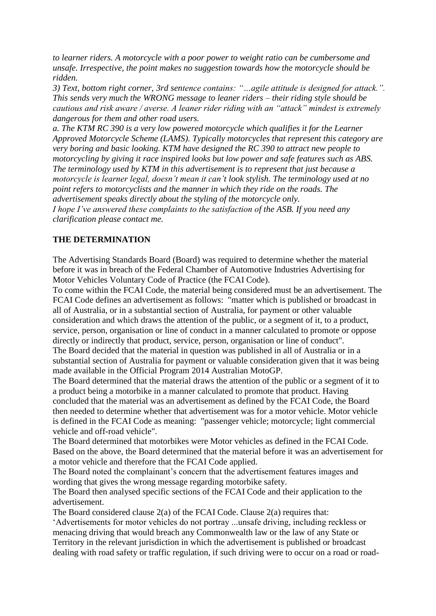*to learner riders. A motorcycle with a poor power to weight ratio can be cumbersome and unsafe. Irrespective, the point makes no suggestion towards how the motorcycle should be ridden.*

*3) Text, bottom right corner, 3rd sentence contains: "…agile attitude is designed for attack.". This sends very much the WRONG message to leaner riders – their riding style should be cautious and risk aware / averse. A leaner rider riding with an "attack" mindest is extremely dangerous for them and other road users.*

*a. The KTM RC 390 is a very low powered motorcycle which qualifies it for the Learner Approved Motorcycle Scheme (LAMS). Typically motorcycles that represent this category are very boring and basic looking. KTM have designed the RC 390 to attract new people to motorcycling by giving it race inspired looks but low power and safe features such as ABS. The terminology used by KTM in this advertisement is to represent that just because a motorcycle is learner legal, doesn't mean it can't look stylish. The terminology used at no point refers to motorcyclists and the manner in which they ride on the roads. The advertisement speaks directly about the styling of the motorcycle only.*

*I hope I've answered these complaints to the satisfaction of the ASB. If you need any clarification please contact me.*

## **THE DETERMINATION**

The Advertising Standards Board (Board) was required to determine whether the material before it was in breach of the Federal Chamber of Automotive Industries Advertising for Motor Vehicles Voluntary Code of Practice (the FCAI Code).

To come within the FCAI Code, the material being considered must be an advertisement. The FCAI Code defines an advertisement as follows: "matter which is published or broadcast in all of Australia, or in a substantial section of Australia, for payment or other valuable consideration and which draws the attention of the public, or a segment of it, to a product, service, person, organisation or line of conduct in a manner calculated to promote or oppose directly or indirectly that product, service, person, organisation or line of conduct". The Board decided that the material in question was published in all of Australia or in a

substantial section of Australia for payment or valuable consideration given that it was being made available in the Official Program 2014 Australian MotoGP.

The Board determined that the material draws the attention of the public or a segment of it to a product being a motorbike in a manner calculated to promote that product. Having concluded that the material was an advertisement as defined by the FCAI Code, the Board then needed to determine whether that advertisement was for a motor vehicle. Motor vehicle is defined in the FCAI Code as meaning: "passenger vehicle; motorcycle; light commercial vehicle and off-road vehicle".

The Board determined that motorbikes were Motor vehicles as defined in the FCAI Code. Based on the above, the Board determined that the material before it was an advertisement for a motor vehicle and therefore that the FCAI Code applied.

The Board noted the complainant's concern that the advertisement features images and wording that gives the wrong message regarding motorbike safety.

The Board then analysed specific sections of the FCAI Code and their application to the advertisement.

The Board considered clause 2(a) of the FCAI Code. Clause 2(a) requires that:

'Advertisements for motor vehicles do not portray ...unsafe driving, including reckless or menacing driving that would breach any Commonwealth law or the law of any State or Territory in the relevant jurisdiction in which the advertisement is published or broadcast dealing with road safety or traffic regulation, if such driving were to occur on a road or road